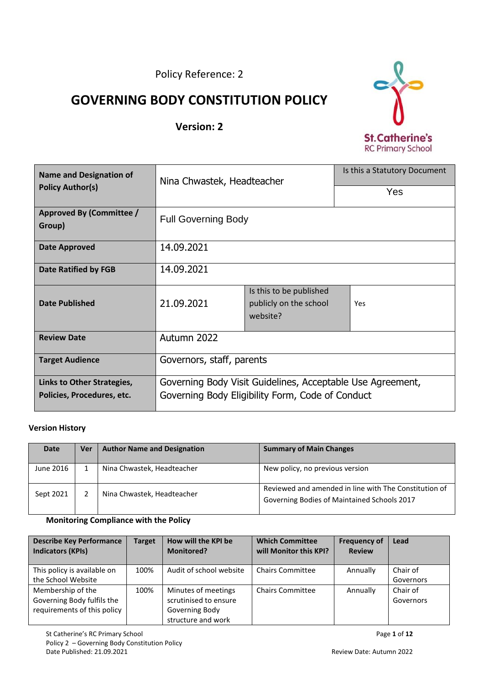Policy Reference: 2

# **GOVERNING BODY CONSTITUTION POLICY**

# **Version: 2**



| <b>Name and Designation of</b>     | Nina Chwastek, Headteacher                                 |                                                               | Is this a Statutory Document |  |
|------------------------------------|------------------------------------------------------------|---------------------------------------------------------------|------------------------------|--|
| <b>Policy Author(s)</b>            |                                                            |                                                               | Yes                          |  |
| Approved By (Committee /<br>Group) | <b>Full Governing Body</b>                                 |                                                               |                              |  |
| <b>Date Approved</b>               | 14.09.2021                                                 |                                                               |                              |  |
| <b>Date Ratified by FGB</b>        | 14.09.2021                                                 |                                                               |                              |  |
| <b>Date Published</b>              | 21.09.2021                                                 | Is this to be published<br>publicly on the school<br>website? | Yes                          |  |
| <b>Review Date</b>                 | Autumn 2022                                                |                                                               |                              |  |
| <b>Target Audience</b>             | Governors, staff, parents                                  |                                                               |                              |  |
| Links to Other Strategies,         | Governing Body Visit Guidelines, Acceptable Use Agreement, |                                                               |                              |  |
| Policies, Procedures, etc.         | Governing Body Eligibility Form, Code of Conduct           |                                                               |                              |  |

#### **Version History**

| <b>Date</b> | Ver | <b>Author Name and Designation</b> | <b>Summary of Main Changes</b>                                                                       |
|-------------|-----|------------------------------------|------------------------------------------------------------------------------------------------------|
| June 2016   |     | Nina Chwastek, Headteacher         | New policy, no previous version                                                                      |
| Sept 2021   |     | Nina Chwastek, Headteacher         | Reviewed and amended in line with The Constitution of<br>Governing Bodies of Maintained Schools 2017 |

#### **Monitoring Compliance with the Policy**

| <b>Describe Key Performance</b><br><b>Indicators (KPIs)</b> | <b>Target</b> | How will the KPI be<br><b>Monitored?</b> | <b>Which Committee</b><br>will Monitor this KPI? | <b>Frequency of</b><br><b>Review</b> | Lead      |
|-------------------------------------------------------------|---------------|------------------------------------------|--------------------------------------------------|--------------------------------------|-----------|
| This policy is available on                                 | 100%          | Audit of school website                  | <b>Chairs Committee</b>                          | Annually                             | Chair of  |
| the School Website                                          |               |                                          |                                                  |                                      | Governors |
| Membership of the                                           | 100%          | Minutes of meetings                      | <b>Chairs Committee</b>                          | Annually                             | Chair of  |
| Governing Body fulfils the                                  |               | scrutinised to ensure                    |                                                  |                                      | Governors |
| requirements of this policy                                 |               | Governing Body                           |                                                  |                                      |           |
|                                                             |               | structure and work                       |                                                  |                                      |           |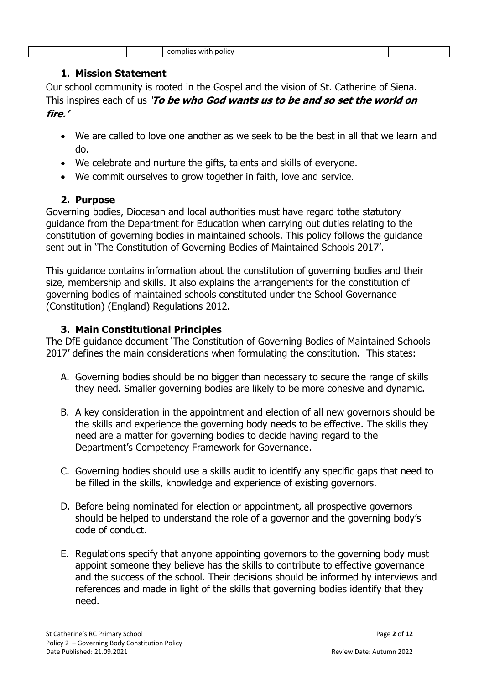| <b>DOIIC</b><br>nblies<br>эг<br>WIT<br>ີ |  |  |  |
|------------------------------------------|--|--|--|
|                                          |  |  |  |

#### **1. Mission Statement**

Our school community is rooted in the Gospel and the vision of St. Catherine of Siena. This inspires each of us '**To be who God wants us to be and so set the world on fire.'**

- We are called to love one another as we seek to be the best in all that we learn and do.
- We celebrate and nurture the gifts, talents and skills of everyone.
- We commit ourselves to grow together in faith, love and service.

## **2. Purpose**

Governing bodies, Diocesan and local authorities must have regard tothe statutory guidance from the Department for Education when carrying out duties relating to the constitution of governing bodies in maintained schools. This policy follows the guidance sent out in 'The Constitution of Governing Bodies of Maintained Schools 2017'.

This guidance contains information about the constitution of governing bodies and their size, membership and skills. It also explains the arrangements for the constitution of governing bodies of maintained schools constituted under the School Governance (Constitution) (England) Regulations 2012.

## **3. Main Constitutional Principles**

The DfE guidance document 'The Constitution of Governing Bodies of Maintained Schools 2017' defines the main considerations when formulating the constitution. This states:

- A. Governing bodies should be no bigger than necessary to secure the range of skills they need. Smaller governing bodies are likely to be more cohesive and dynamic.
- B. A key consideration in the appointment and election of all new governors should be the skills and experience the governing body needs to be effective. The skills they need are a matter for governing bodies to decide having regard to the Department's Competency Framework for Governance.
- C. Governing bodies should use a skills audit to identify any specific gaps that need to be filled in the skills, knowledge and experience of existing governors.
- D. Before being nominated for election or appointment, all prospective governors should be helped to understand the role of a governor and the governing body's code of conduct.
- E. Regulations specify that anyone appointing governors to the governing body must appoint someone they believe has the skills to contribute to effective governance and the success of the school. Their decisions should be informed by interviews and references and made in light of the skills that governing bodies identify that they need.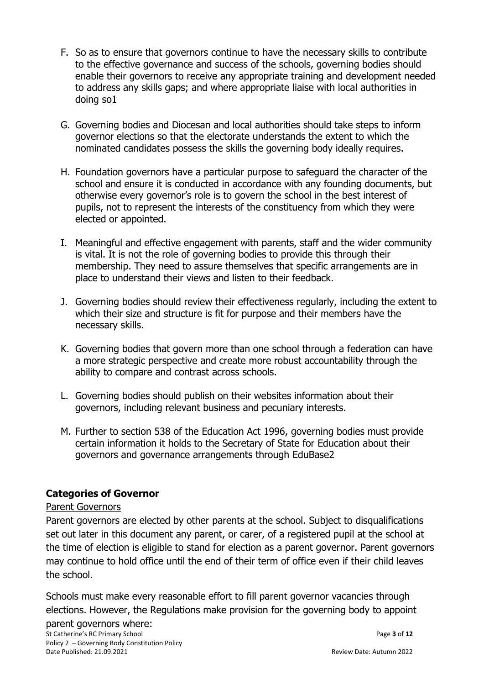- F. So as to ensure that governors continue to have the necessary skills to contribute to the effective governance and success of the schools, governing bodies should enable their governors to receive any appropriate training and development needed to address any skills gaps; and where appropriate liaise with local authorities in doing so1
- G. Governing bodies and Diocesan and local authorities should take steps to inform governor elections so that the electorate understands the extent to which the nominated candidates possess the skills the governing body ideally requires.
- H. Foundation governors have a particular purpose to safeguard the character of the school and ensure it is conducted in accordance with any founding documents, but otherwise every governor's role is to govern the school in the best interest of pupils, not to represent the interests of the constituency from which they were elected or appointed.
- I. Meaningful and effective engagement with parents, staff and the wider community is vital. It is not the role of governing bodies to provide this through their membership. They need to assure themselves that specific arrangements are in place to understand their views and listen to their feedback.
- J. Governing bodies should review their effectiveness regularly, including the extent to which their size and structure is fit for purpose and their members have the necessary skills.
- K. Governing bodies that govern more than one school through a federation can have a more strategic perspective and create more robust accountability through the ability to compare and contrast across schools.
- L. Governing bodies should publish on their websites information about their governors, including relevant business and pecuniary interests.
- M. Further to section 538 of the Education Act 1996, governing bodies must provide certain information it holds to the Secretary of State for Education about their governors and governance arrangements through EduBase2

# **Categories of Governor**

#### Parent Governors

Parent governors are elected by other parents at the school. Subject to disqualifications set out later in this document any parent, or carer, of a registered pupil at the school at the time of election is eligible to stand for election as a parent governor. Parent governors may continue to hold office until the end of their term of office even if their child leaves the school.

Schools must make every reasonable effort to fill parent governor vacancies through elections. However, the Regulations make provision for the governing body to appoint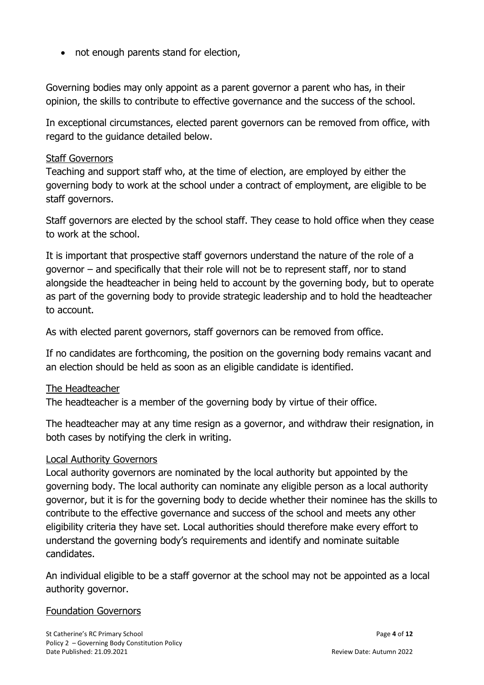• not enough parents stand for election,

Governing bodies may only appoint as a parent governor a parent who has, in their opinion, the skills to contribute to effective governance and the success of the school.

In exceptional circumstances, elected parent governors can be removed from office, with regard to the guidance detailed below.

#### Staff Governors

Teaching and support staff who, at the time of election, are employed by either the governing body to work at the school under a contract of employment, are eligible to be staff governors.

Staff governors are elected by the school staff. They cease to hold office when they cease to work at the school.

It is important that prospective staff governors understand the nature of the role of a governor – and specifically that their role will not be to represent staff, nor to stand alongside the headteacher in being held to account by the governing body, but to operate as part of the governing body to provide strategic leadership and to hold the headteacher to account.

As with elected parent governors, staff governors can be removed from office.

If no candidates are forthcoming, the position on the governing body remains vacant and an election should be held as soon as an eligible candidate is identified.

#### The Headteacher

The headteacher is a member of the governing body by virtue of their office.

The headteacher may at any time resign as a governor, and withdraw their resignation, in both cases by notifying the clerk in writing.

#### Local Authority Governors

Local authority governors are nominated by the local authority but appointed by the governing body. The local authority can nominate any eligible person as a local authority governor, but it is for the governing body to decide whether their nominee has the skills to contribute to the effective governance and success of the school and meets any other eligibility criteria they have set. Local authorities should therefore make every effort to understand the governing body's requirements and identify and nominate suitable candidates.

An individual eligible to be a staff governor at the school may not be appointed as a local authority governor.

#### Foundation Governors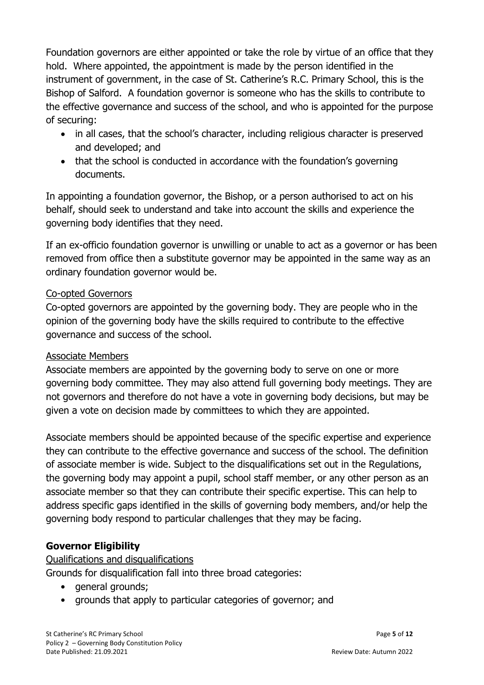Foundation governors are either appointed or take the role by virtue of an office that they hold. Where appointed, the appointment is made by the person identified in the instrument of government, in the case of St. Catherine's R.C. Primary School, this is the Bishop of Salford. A foundation governor is someone who has the skills to contribute to the effective governance and success of the school, and who is appointed for the purpose of securing:

- in all cases, that the school's character, including religious character is preserved and developed; and
- that the school is conducted in accordance with the foundation's governing documents.

In appointing a foundation governor, the Bishop, or a person authorised to act on his behalf, should seek to understand and take into account the skills and experience the governing body identifies that they need.

If an ex-officio foundation governor is unwilling or unable to act as a governor or has been removed from office then a substitute governor may be appointed in the same way as an ordinary foundation governor would be.

## Co-opted Governors

Co-opted governors are appointed by the governing body. They are people who in the opinion of the governing body have the skills required to contribute to the effective governance and success of the school.

#### Associate Members

Associate members are appointed by the governing body to serve on one or more governing body committee. They may also attend full governing body meetings. They are not governors and therefore do not have a vote in governing body decisions, but may be given a vote on decision made by committees to which they are appointed.

Associate members should be appointed because of the specific expertise and experience they can contribute to the effective governance and success of the school. The definition of associate member is wide. Subject to the disqualifications set out in the Regulations, the governing body may appoint a pupil, school staff member, or any other person as an associate member so that they can contribute their specific expertise. This can help to address specific gaps identified in the skills of governing body members, and/or help the governing body respond to particular challenges that they may be facing.

# **Governor Eligibility**

Qualifications and disqualifications

Grounds for disqualification fall into three broad categories:

- general grounds:
- grounds that apply to particular categories of governor; and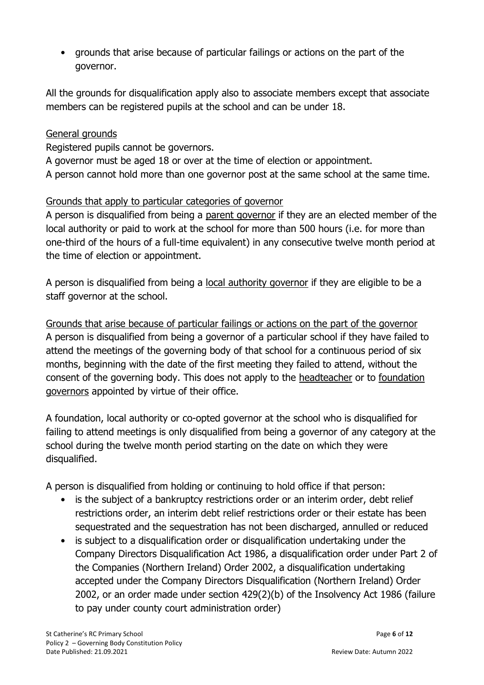• grounds that arise because of particular failings or actions on the part of the governor.

All the grounds for disqualification apply also to associate members except that associate members can be registered pupils at the school and can be under 18.

## General grounds

Registered pupils cannot be governors.

A governor must be aged 18 or over at the time of election or appointment.

A person cannot hold more than one governor post at the same school at the same time.

# Grounds that apply to particular categories of governor

A person is disqualified from being a parent governor if they are an elected member of the local authority or paid to work at the school for more than 500 hours (i.e. for more than one-third of the hours of a full-time equivalent) in any consecutive twelve month period at the time of election or appointment.

A person is disqualified from being a local authority governor if they are eligible to be a staff governor at the school.

Grounds that arise because of particular failings or actions on the part of the governor A person is disqualified from being a governor of a particular school if they have failed to attend the meetings of the governing body of that school for a continuous period of six months, beginning with the date of the first meeting they failed to attend, without the consent of the governing body. This does not apply to the headteacher or to foundation governors appointed by virtue of their office.

A foundation, local authority or co-opted governor at the school who is disqualified for failing to attend meetings is only disqualified from being a governor of any category at the school during the twelve month period starting on the date on which they were disqualified.

A person is disqualified from holding or continuing to hold office if that person:

- is the subject of a bankruptcy restrictions order or an interim order, debt relief restrictions order, an interim debt relief restrictions order or their estate has been sequestrated and the sequestration has not been discharged, annulled or reduced
- is subject to a disqualification order or disqualification undertaking under the Company Directors Disqualification Act 1986, a disqualification order under Part 2 of the Companies (Northern Ireland) Order 2002, a disqualification undertaking accepted under the Company Directors Disqualification (Northern Ireland) Order 2002, or an order made under section 429(2)(b) of the Insolvency Act 1986 (failure to pay under county court administration order)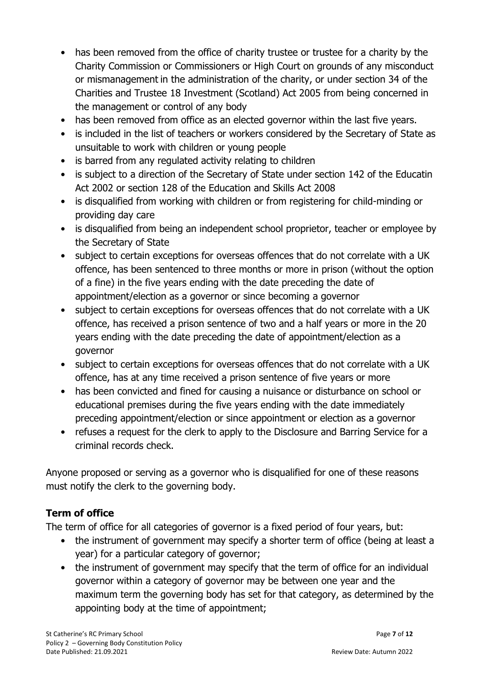- has been removed from the office of charity trustee or trustee for a charity by the Charity Commission or Commissioners or High Court on grounds of any misconduct or mismanagement in the administration of the charity, or under section 34 of the Charities and Trustee 18 Investment (Scotland) Act 2005 from being concerned in the management or control of any body
- has been removed from office as an elected governor within the last five years.
- is included in the list of teachers or workers considered by the Secretary of State as unsuitable to work with children or young people
- is barred from any regulated activity relating to children
- is subject to a direction of the Secretary of State under section 142 of the Educatin Act 2002 or section 128 of the Education and Skills Act 2008
- is disqualified from working with children or from registering for child-minding or providing day care
- is disqualified from being an independent school proprietor, teacher or employee by the Secretary of State
- subject to certain exceptions for overseas offences that do not correlate with a UK offence, has been sentenced to three months or more in prison (without the option of a fine) in the five years ending with the date preceding the date of appointment/election as a governor or since becoming a governor
- subject to certain exceptions for overseas offences that do not correlate with a UK offence, has received a prison sentence of two and a half years or more in the 20 years ending with the date preceding the date of appointment/election as a governor
- subject to certain exceptions for overseas offences that do not correlate with a UK offence, has at any time received a prison sentence of five years or more
- has been convicted and fined for causing a nuisance or disturbance on school or educational premises during the five years ending with the date immediately preceding appointment/election or since appointment or election as a governor
- refuses a request for the clerk to apply to the Disclosure and Barring Service for a criminal records check.

Anyone proposed or serving as a governor who is disqualified for one of these reasons must notify the clerk to the governing body.

# **Term of office**

The term of office for all categories of governor is a fixed period of four years, but:

- the instrument of government may specify a shorter term of office (being at least a year) for a particular category of governor;
- the instrument of government may specify that the term of office for an individual governor within a category of governor may be between one year and the maximum term the governing body has set for that category, as determined by the appointing body at the time of appointment;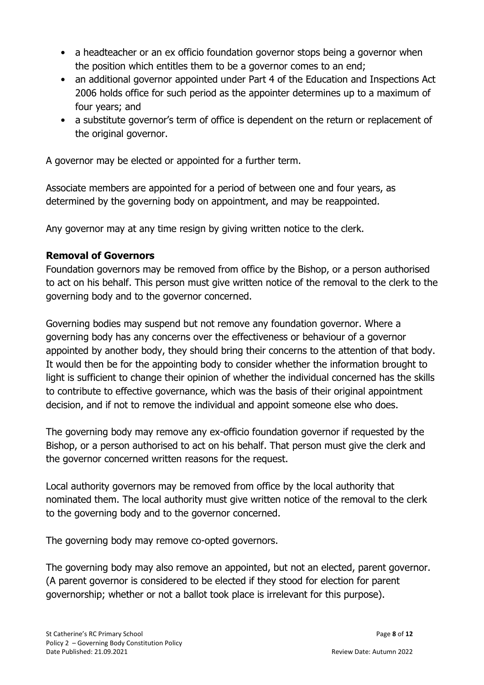- a headteacher or an ex officio foundation governor stops being a governor when the position which entitles them to be a governor comes to an end;
- an additional governor appointed under Part 4 of the Education and Inspections Act 2006 holds office for such period as the appointer determines up to a maximum of four years; and
- a substitute governor's term of office is dependent on the return or replacement of the original governor.

A governor may be elected or appointed for a further term.

Associate members are appointed for a period of between one and four years, as determined by the governing body on appointment, and may be reappointed.

Any governor may at any time resign by giving written notice to the clerk.

## **Removal of Governors**

Foundation governors may be removed from office by the Bishop, or a person authorised to act on his behalf. This person must give written notice of the removal to the clerk to the governing body and to the governor concerned.

Governing bodies may suspend but not remove any foundation governor. Where a governing body has any concerns over the effectiveness or behaviour of a governor appointed by another body, they should bring their concerns to the attention of that body. It would then be for the appointing body to consider whether the information brought to light is sufficient to change their opinion of whether the individual concerned has the skills to contribute to effective governance, which was the basis of their original appointment decision, and if not to remove the individual and appoint someone else who does.

The governing body may remove any ex-officio foundation governor if requested by the Bishop, or a person authorised to act on his behalf. That person must give the clerk and the governor concerned written reasons for the request.

Local authority governors may be removed from office by the local authority that nominated them. The local authority must give written notice of the removal to the clerk to the governing body and to the governor concerned.

The governing body may remove co-opted governors.

The governing body may also remove an appointed, but not an elected, parent governor. (A parent governor is considered to be elected if they stood for election for parent governorship; whether or not a ballot took place is irrelevant for this purpose).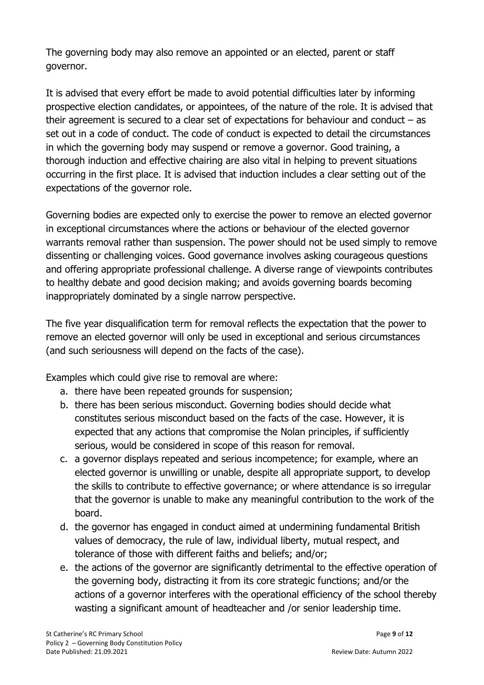The governing body may also remove an appointed or an elected, parent or staff governor.

It is advised that every effort be made to avoid potential difficulties later by informing prospective election candidates, or appointees, of the nature of the role. It is advised that their agreement is secured to a clear set of expectations for behaviour and conduct  $-$  as set out in a code of conduct. The code of conduct is expected to detail the circumstances in which the governing body may suspend or remove a governor. Good training, a thorough induction and effective chairing are also vital in helping to prevent situations occurring in the first place. It is advised that induction includes a clear setting out of the expectations of the governor role.

Governing bodies are expected only to exercise the power to remove an elected governor in exceptional circumstances where the actions or behaviour of the elected governor warrants removal rather than suspension. The power should not be used simply to remove dissenting or challenging voices. Good governance involves asking courageous questions and offering appropriate professional challenge. A diverse range of viewpoints contributes to healthy debate and good decision making; and avoids governing boards becoming inappropriately dominated by a single narrow perspective.

The five year disqualification term for removal reflects the expectation that the power to remove an elected governor will only be used in exceptional and serious circumstances (and such seriousness will depend on the facts of the case).

Examples which could give rise to removal are where:

- a. there have been repeated grounds for suspension;
- b. there has been serious misconduct. Governing bodies should decide what constitutes serious misconduct based on the facts of the case. However, it is expected that any actions that compromise the Nolan principles, if sufficiently serious, would be considered in scope of this reason for removal.
- c. a governor displays repeated and serious incompetence; for example, where an elected governor is unwilling or unable, despite all appropriate support, to develop the skills to contribute to effective governance; or where attendance is so irregular that the governor is unable to make any meaningful contribution to the work of the board.
- d. the governor has engaged in conduct aimed at undermining fundamental British values of democracy, the rule of law, individual liberty, mutual respect, and tolerance of those with different faiths and beliefs; and/or;
- e. the actions of the governor are significantly detrimental to the effective operation of the governing body, distracting it from its core strategic functions; and/or the actions of a governor interferes with the operational efficiency of the school thereby wasting a significant amount of headteacher and /or senior leadership time.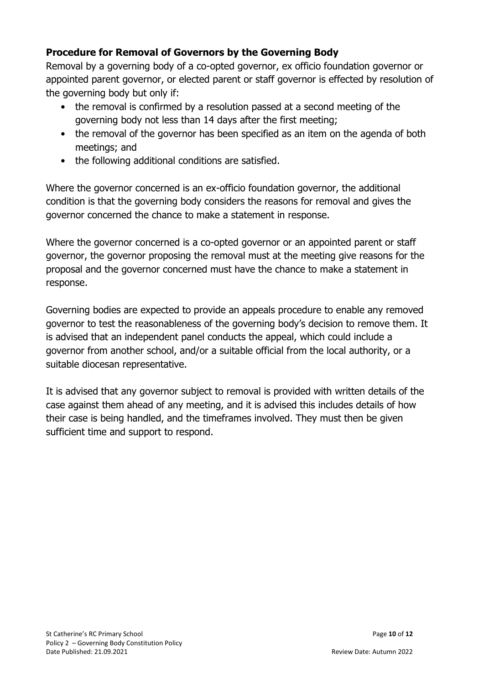# **Procedure for Removal of Governors by the Governing Body**

Removal by a governing body of a co-opted governor, ex officio foundation governor or appointed parent governor, or elected parent or staff governor is effected by resolution of the governing body but only if:

- the removal is confirmed by a resolution passed at a second meeting of the governing body not less than 14 days after the first meeting;
- the removal of the governor has been specified as an item on the agenda of both meetings; and
- the following additional conditions are satisfied.

Where the governor concerned is an ex-officio foundation governor, the additional condition is that the governing body considers the reasons for removal and gives the governor concerned the chance to make a statement in response.

Where the governor concerned is a co-opted governor or an appointed parent or staff governor, the governor proposing the removal must at the meeting give reasons for the proposal and the governor concerned must have the chance to make a statement in response.

Governing bodies are expected to provide an appeals procedure to enable any removed governor to test the reasonableness of the governing body's decision to remove them. It is advised that an independent panel conducts the appeal, which could include a governor from another school, and/or a suitable official from the local authority, or a suitable diocesan representative.

It is advised that any governor subject to removal is provided with written details of the case against them ahead of any meeting, and it is advised this includes details of how their case is being handled, and the timeframes involved. They must then be given sufficient time and support to respond.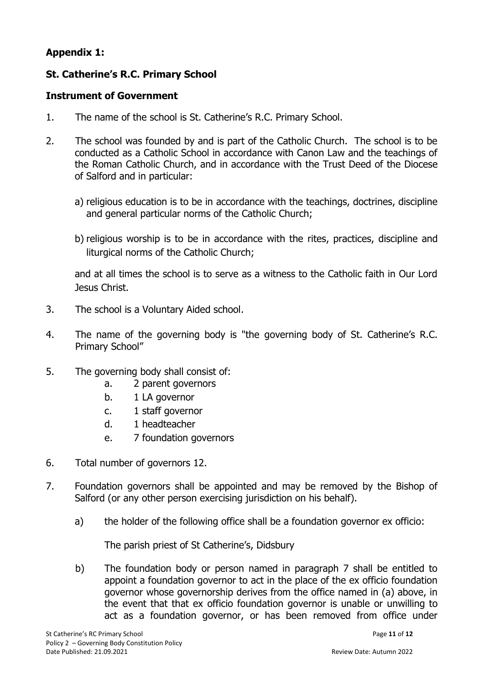# **Appendix 1:**

# **St. Catherine's R.C. Primary School**

#### **Instrument of Government**

- 1. The name of the school is St. Catherine's R.C. Primary School.
- 2. The school was founded by and is part of the Catholic Church. The school is to be conducted as a Catholic School in accordance with Canon Law and the teachings of the Roman Catholic Church, and in accordance with the Trust Deed of the Diocese of Salford and in particular:
	- a) religious education is to be in accordance with the teachings, doctrines, discipline and general particular norms of the Catholic Church;
	- b) religious worship is to be in accordance with the rites, practices, discipline and liturgical norms of the Catholic Church;

and at all times the school is to serve as a witness to the Catholic faith in Our Lord Jesus Christ.

- 3. The school is a Voluntary Aided school.
- 4. The name of the governing body is "the governing body of St. Catherine's R.C. Primary School"
- 5. The governing body shall consist of:
	- a. 2 parent governors
	- b. 1 LA governor
	- c. 1 staff governor
	- d. 1 headteacher
	- e. 7 foundation governors
- 6. Total number of governors 12.
- 7. Foundation governors shall be appointed and may be removed by the Bishop of Salford (or any other person exercising jurisdiction on his behalf).
	- a) the holder of the following office shall be a foundation governor ex officio:

The parish priest of St Catherine's, Didsbury

b) The foundation body or person named in paragraph 7 shall be entitled to appoint a foundation governor to act in the place of the ex officio foundation governor whose governorship derives from the office named in (a) above, in the event that that ex officio foundation governor is unable or unwilling to act as a foundation governor, or has been removed from office under